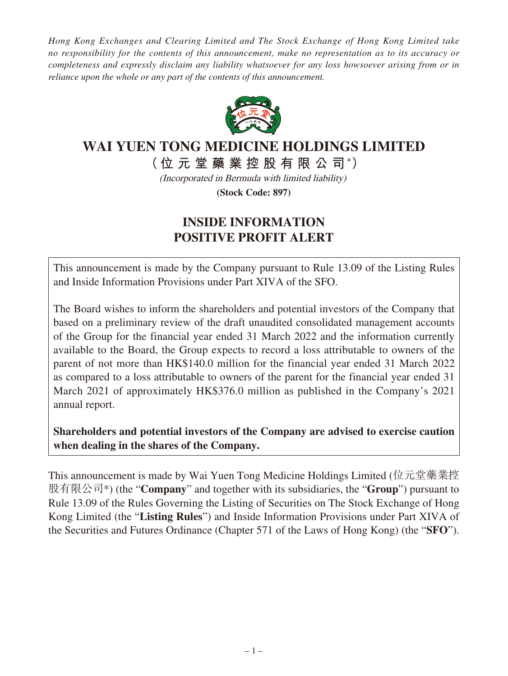*Hong Kong Exchanges and Clearing Limited and The Stock Exchange of Hong Kong Limited take no responsibility for the contents of this announcement, make no representation as to its accuracy or completeness and expressly disclaim any liability whatsoever for any loss howsoever arising from or in reliance upon the whole or any part of the contents of this announcement.*



## **WAI YUEN TONG MEDICINE HOLDINGS LIMITED**

**(位元堂藥業控股有限 公 司 \* )**

(Incorporated in Bermuda with limited liability)

**(Stock Code: 897)**

## **INSIDE INFORMATION POSITIVE PROFIT ALERT**

This announcement is made by the Company pursuant to Rule 13.09 of the Listing Rules and Inside Information Provisions under Part XIVA of the SFO.

The Board wishes to inform the shareholders and potential investors of the Company that based on a preliminary review of the draft unaudited consolidated management accounts of the Group for the financial year ended 31 March 2022 and the information currently available to the Board, the Group expects to record a loss attributable to owners of the parent of not more than HK\$140.0 million for the financial year ended 31 March 2022 as compared to a loss attributable to owners of the parent for the financial year ended 31 March 2021 of approximately HK\$376.0 million as published in the Company's 2021 annual report.

**Shareholders and potential investors of the Company are advised to exercise caution when dealing in the shares of the Company.**

This announcement is made by Wai Yuen Tong Medicine Holdings Limited (位元堂藥業控 股有限公司\*) (the "**Company**" and together with its subsidiaries, the "**Group**") pursuant to Rule 13.09 of the Rules Governing the Listing of Securities on The Stock Exchange of Hong Kong Limited (the "**Listing Rules**") and Inside Information Provisions under Part XIVA of the Securities and Futures Ordinance (Chapter 571 of the Laws of Hong Kong) (the "**SFO**").